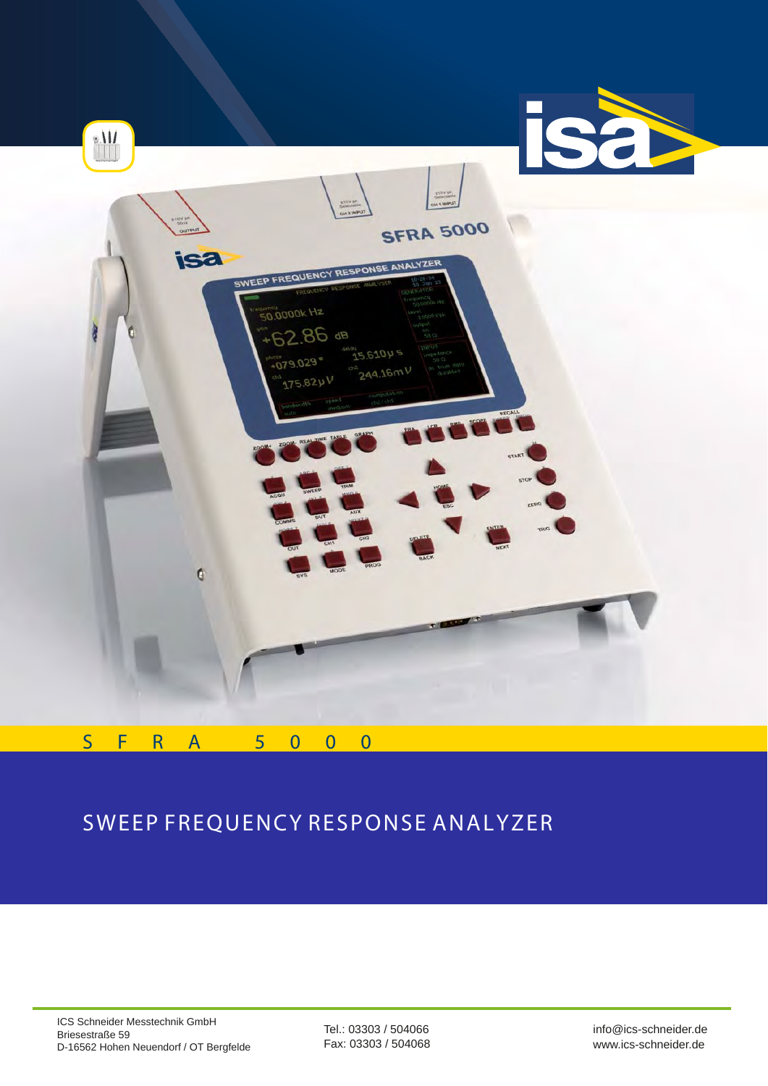

# SWEEP FREQUENCY RESPONSE ANALYZER

Tel.: 03303 / 504066 Fax: 03303 / 504068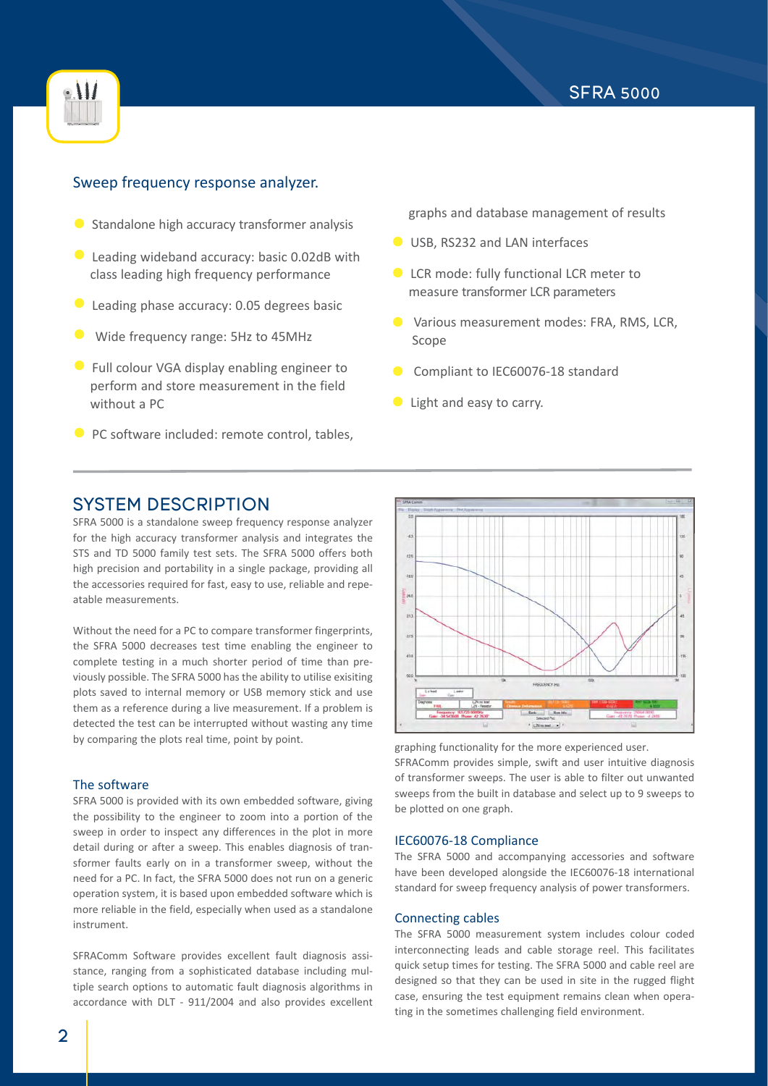



### Sweep frequency response analyzer.

- **•** Standalone high accuracy transformer analysis
- **Leading wideband accuracy: basic 0.02dB with** class leading high frequency performance
- **Leading phase accuracy: 0.05 degrees basic**
- Wide frequency range: 5Hz to 45MHz
- **•** Full colour VGA display enabling engineer to perform and store measurement in the field without a PC
- **PC software included: remote control, tables,**

graphs and database management of results

- **USB, RS232 and LAN interfaces**
- **LCR mode: fully functional LCR meter to** measure transformer LCR parameters
- **•** Various measurement modes: FRA, RMS, LCR, Scope
- Compliant to IEC60076-18 standard
- **•** Light and easy to carry.

# SYSTEM DESCRIPTION

SFRA 5000 is a standalone sweep frequency response analyzer for the high accuracy transformer analysis and integrates the STS and TD 5000 family test sets. The SFRA 5000 offers both high precision and portability in a single package, providing all the accessories required for fast, easy to use, reliable and repeatable measurements.

Without the need for a PC to compare transformer fingerprints, the SFRA 5000 decreases test time enabling the engineer to complete testing in a much shorter period of time than previously possible. The SFRA 5000 has the ability to utilise exisiting plots saved to internal memory or USB memory stick and use them as a reference during a live measurement. If a problem is detected the test can be interrupted without wasting any time by comparing the plots real time, point by point.

#### The software

SFRA 5000 is provided with its own embedded software, giving the possibility to the engineer to zoom into a portion of the sweep in order to inspect any differences in the plot in more detail during or after a sweep. This enables diagnosis of transformer faults early on in a transformer sweep, without the need for a PC. In fact, the SFRA 5000 does not run on a generic operation system, it is based upon embedded software which is more reliable in the field, especially when used as a standalone instrument.

SFRAComm Software provides excellent fault diagnosis assistance, ranging from a sophisticated database including multiple search options to automatic fault diagnosis algorithms in accordance with DLT - 911/2004 and also provides excellent



graphing functionality for the more experienced user. SFRAComm provides simple, swift and user intuitive diagnosis of transformer sweeps. The user is able to filter out unwanted sweeps from the built in database and select up to 9 sweeps to be plotted on one graph.

#### IEC60076-18 Compliance

The SFRA 5000 and accompanying accessories and software have been developed alongside the IEC60076-18 international standard for sweep frequency analysis of power transformers.

#### Connecting cables

The SFRA 5000 measurement system includes colour coded interconnecting leads and cable storage reel. This facilitates quick setup times for testing. The SFRA 5000 and cable reel are designed so that they can be used in site in the rugged flight case, ensuring the test equipment remains clean when operating in the sometimes challenging field environment.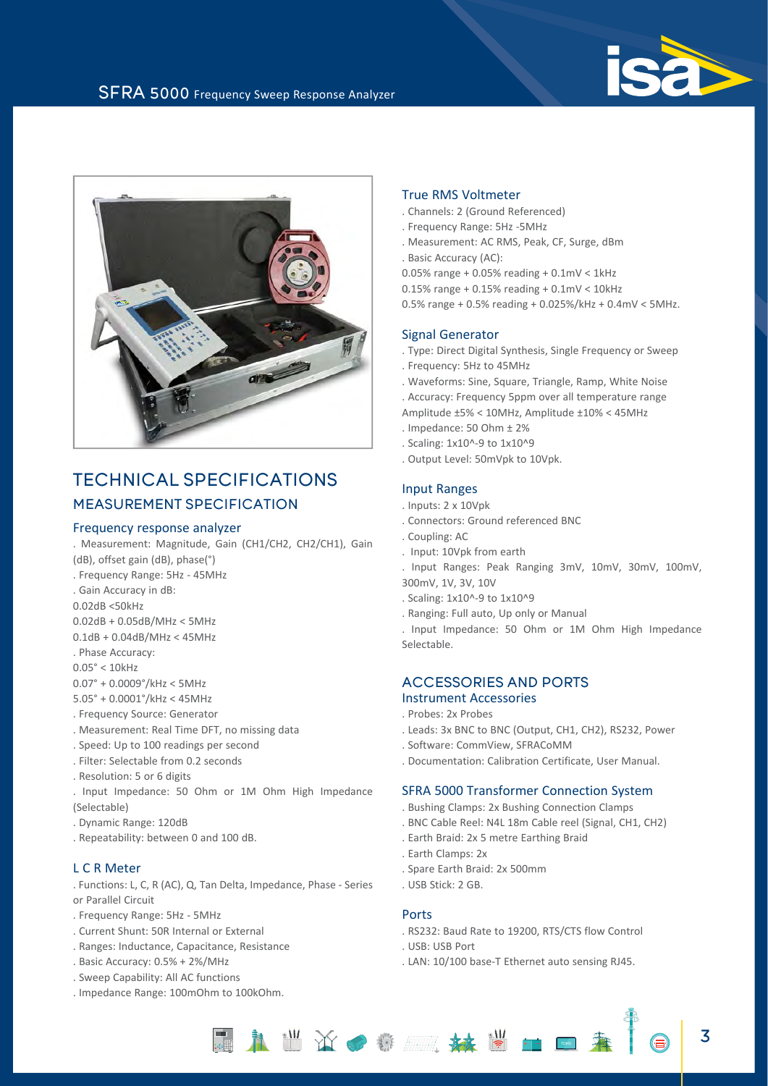



# TECHNICAL SPECIFICATIONS MEASUREMENT SPECIFICATION

#### Frequency response analyzer

. Measurement: Magnitude, Gain (CH1/CH2, CH2/CH1), Gain (dB), offset gain (dB), phase(°)

. Frequency Range: 5Hz - 45MHz

- . Gain Accuracy in dB:
- 0.02dB <50kHz

0.02dB + 0.05dB/MHz < 5MHz

- 0.1dB + 0.04dB/MHz < 45MHz
- . Phase Accuracy:
- 0.05° < 10kHz

0.07° + 0.0009°/kHz < 5MHz

- 5.05° + 0.0001°/kHz < 45MHz
- . Frequency Source: Generator
- . Measurement: Real Time DFT, no missing data
- . Speed: Up to 100 readings per second
- . Filter: Selectable from 0.2 seconds
- . Resolution: 5 or 6 digits
- . Input Impedance: 50 Ohm or 1M Ohm High Impedance (Selectable)
- . Dynamic Range: 120dB
- . Repeatability: between 0 and 100 dB.

#### L C R Meter

. Functions: L, C, R (AC), Q, Tan Delta, Impedance, Phase - Series or Parallel Circuit

- . Frequency Range: 5Hz 5MHz
- . Current Shunt: 50R Internal or External
- . Ranges: Inductance, Capacitance, Resistance
- . Basic Accuracy: 0.5% + 2%/MHz
- . Sweep Capability: All AC functions
- . Impedance Range: 100mOhm to 100kOhm.

#### True RMS Voltmeter

- . Channels: 2 (Ground Referenced)
- . Frequency Range: 5Hz -5MHz
- . Measurement: AC RMS, Peak, CF, Surge, dBm
- . Basic Accuracy (AC):
- 0.05% range + 0.05% reading +  $0.1$ mV <  $1$ kHz
- 0.15% range + 0.15% reading + 0.1mV < 10kHz
- 0.5% range + 0.5% reading + 0.025%/kHz + 0.4mV < 5MHz.

#### Signal Generator

- . Type: Direct Digital Synthesis, Single Frequency or Sweep
- . Frequency: 5Hz to 45MHz
- . Waveforms: Sine, Square, Triangle, Ramp, White Noise
- . Accuracy: Frequency 5ppm over all temperature range
- Amplitude ±5% < 10MHz, Amplitude ±10% < 45MHz
- . Impedance: 50 Ohm ± 2%
- . Scaling: 1x10^-9 to 1x10^9
- . Output Level: 50mVpk to 10Vpk.

#### Input Ranges

- . Inputs: 2 x 10Vpk
- . Connectors: Ground referenced BNC
- . Coupling: AC
- . Input: 10Vpk from earth
- . Input Ranges: Peak Ranging 3mV, 10mV, 30mV, 100mV, 300mV, 1V, 3V, 10V
- . Scaling: 1x10^-9 to 1x10^9
- . Ranging: Full auto, Up only or Manual

. Input Impedance: 50 Ohm or 1M Ohm High Impedance Selectable.

## ACCESSORIES AND PORTS

- Instrument Accessories
- . Probes: 2x Probes
- . Leads: 3x BNC to BNC (Output, CH1, CH2), RS232, Power
- . Software: CommView, SFRACoMM
- . Documentation: Calibration Certificate, User Manual.

#### SFRA 5000 Transformer Connection System

- . Bushing Clamps: 2x Bushing Connection Clamps
- . BNC Cable Reel: N4L 18m Cable reel (Signal, CH1, CH2)
- . Earth Braid: 2x 5 metre Earthing Braid
- . Earth Clamps: 2x
- . Spare Earth Braid: 2x 500mm
- . USB Stick: 2 GB.

#### Ports

- . RS232: Baud Rate to 19200, RTS/CTS flow Control
- . USB: USB Port
- . LAN: 10/100 base-T Ethernet auto sensing RJ45.